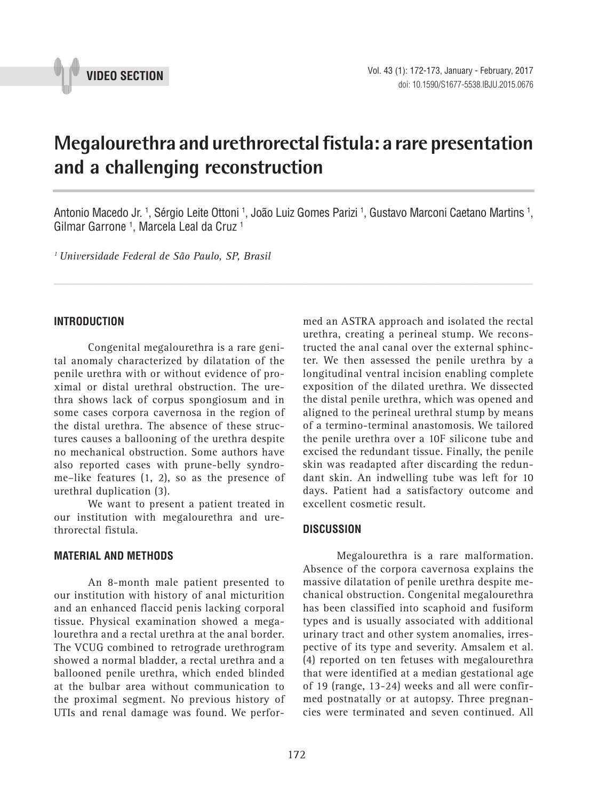

# **Megalourethra and urethrorectal fistula: a rare presentation and a challenging reconstruction \_\_\_\_\_\_\_\_\_\_\_\_\_\_\_\_\_\_\_\_\_\_\_\_\_\_\_\_\_\_\_\_\_\_\_\_\_\_\_\_\_\_\_\_\_\_\_**

Antonio Macedo Jr. <sup>1</sup>, Sérgio Leite Ottoni <sup>1</sup>, João Luiz Gomes Parizi <sup>1</sup>, Gustavo Marconi Caetano Martins <sup>1</sup>, Gilmar Garrone 1 , Marcela Leal da Cruz 1

*\_\_\_\_\_\_\_\_\_\_\_\_\_\_\_\_\_\_\_\_\_\_\_\_\_\_\_\_\_\_\_\_\_\_\_\_\_\_\_\_\_\_\_\_\_\_\_\_\_\_\_\_\_\_\_\_\_\_\_\_\_\_\_\_\_\_\_\_\_\_\_\_\_\_\_\_\_\_\_\_\_\_\_\_\_\_\_*

*1 Universidade Federal de São Paulo, SP, Brasil*

### **INTRODUCTION**

Congenital megalourethra is a rare genital anomaly characterized by dilatation of the penile urethra with or without evidence of proximal or distal urethral obstruction. The urethra shows lack of corpus spongiosum and in some cases corpora cavernosa in the region of the distal urethra. The absence of these structures causes a ballooning of the urethra despite no mechanical obstruction. Some authors have also reported cases with prune-belly syndrome–like features (1, 2), so as the presence of urethral duplication (3).

We want to present a patient treated in our institution with megalourethra and urethrorectal fistula.

## **MATERIAL AND METHODS**

An 8-month male patient presented to our institution with history of anal micturition and an enhanced flaccid penis lacking corporal tissue. Physical examination showed a megalourethra and a rectal urethra at the anal border. The VCUG combined to retrograde urethrogram showed a normal bladder, a rectal urethra and a ballooned penile urethra, which ended blinded at the bulbar area without communication to the proximal segment. No previous history of UTIs and renal damage was found. We perfor-

med an ASTRA approach and isolated the rectal urethra, creating a perineal stump. We reconstructed the anal canal over the external sphincter. We then assessed the penile urethra by a longitudinal ventral incision enabling complete exposition of the dilated urethra. We dissected the distal penile urethra, which was opened and aligned to the perineal urethral stump by means of a termino-terminal anastomosis. We tailored the penile urethra over a 10F silicone tube and excised the redundant tissue. Finally, the penile skin was readapted after discarding the redundant skin. An indwelling tube was left for 10 days. Patient had a satisfactory outcome and excellent cosmetic result.

#### **DISCUSSION**

Megalourethra is a rare malformation. Absence of the corpora cavernosa explains the massive dilatation of penile urethra despite mechanical obstruction. Congenital megalourethra has been classified into scaphoid and fusiform types and is usually associated with additional urinary tract and other system anomalies, irrespective of its type and severity. Amsalem et al. (4) reported on ten fetuses with megalourethra that were identified at a median gestational age of 19 (range, 13-24) weeks and all were confirmed postnatally or at autopsy. Three pregnancies were terminated and seven continued. All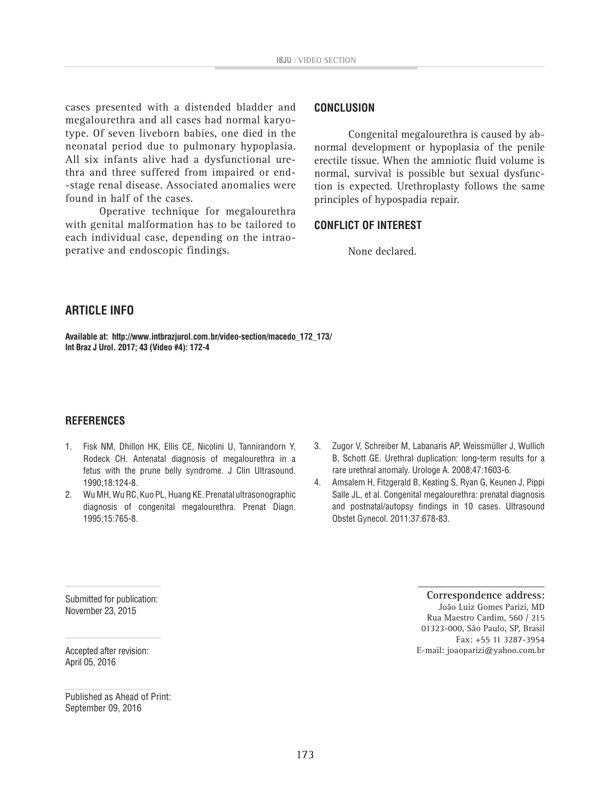cases presented with a distended bladder and megalourethra and all cases had normal karyotype. Of seven liveborn babies, one died in the neonatal period due to pulmonary hypoplasia. All six infants alive had a dysfunctional urethra and three suffered from impaired or end- -stage renal disease. Associated anomalies were found in half of the cases.

Operative technique for megalourethra with genital malformation has to be tailored to each individual case, depending on the intraoperative and endoscopic findings.

#### **CONCLUSION**

Congenital megalourethra is caused by abnormal development or hypoplasia of the penile erectile tissue. When the amniotic fluid volume is normal, survival is possible but sexual dysfunction is expected. Urethroplasty follows the same principles of hypospadia repair.

#### **CONFLICT OF INTEREST**

None declared.

## **ARTICLE INFO**

**Available at: http://www.intbrazjurol.com.br/video-section/macedo\_172\_173/ Int Braz J Urol. 2017; 43 (Video #4): 172-4**

### **REFERENCES**

- 1. Fisk NM, Dhillon HK, Ellis CE, Nicolini U, Tannirandorn Y, Rodeck CH. Antenatal diagnosis of megalourethra in a fetus with the prune belly syndrome. J Clin Ultrasound. 1990;18:124-8.
- 2. Wu MH, Wu RC, Kuo PL, Huang KE. Prenatal ultrasonographic diagnosis of congenital megalourethra. Prenat Diagn. 1995;15:765-8.
- 3. Zugor V, Schreiber M, Labanaris AP, Weissmüller J, Wullich B, Schott GE. Urethral duplication: long-term results for a rare urethral anomaly. Urologe A. 2008;47:1603-6.
- 4. Amsalem H, Fitzgerald B, Keating S, Ryan G, Keunen J, Pippi Salle JL, et al. Congenital megalourethra: prenatal diagnosis and postnatal/autopsy findings in 10 cases. Ultrasound Obstet Gynecol. 2011;37:678-83.

Submitted for publication: November 23, 2015

Accepted after revision: April 05, 2016

Published as Ahead of Print: September 09, 2016

**Correspondence address:** João Luiz Gomes Parizi, MD Rua Maestro Cardim, 560 / 215 01323-000, São Paulo, SP, Brasil Fax: +55 11 3287-3954 E-mail: joaoparizi@yahoo.com.br

**\_\_\_\_\_\_\_\_\_\_\_\_\_\_\_\_\_\_\_\_\_\_\_**